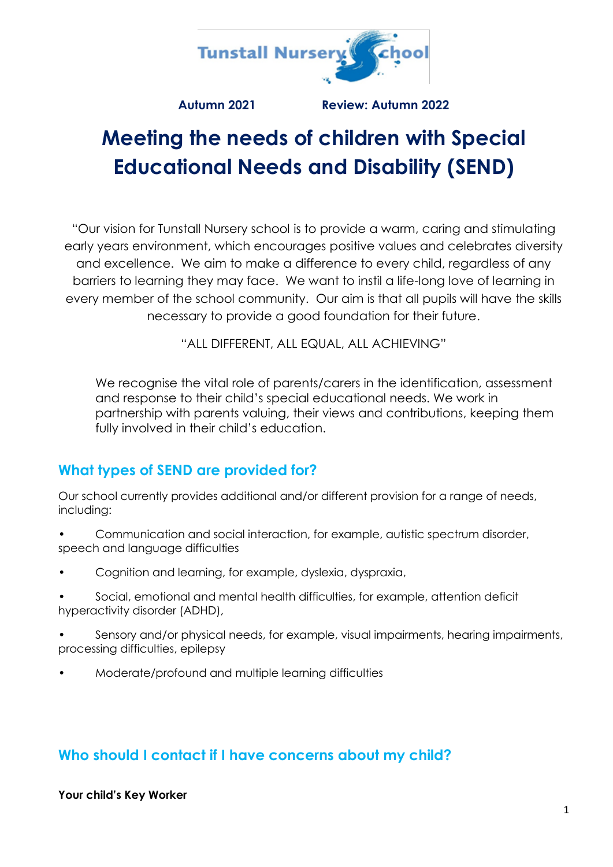

**Autumn 2021 Review: Autumn 2022**

# **Meeting the needs of children with Special Educational Needs and Disability (SEND)**

"Our vision for Tunstall Nursery school is to provide a warm, caring and stimulating early years environment, which encourages positive values and celebrates diversity and excellence. We aim to make a difference to every child, regardless of any barriers to learning they may face. We want to instil a life-long love of learning in every member of the school community. Our aim is that all pupils will have the skills necessary to provide a good foundation for their future.

"ALL DIFFERENT, ALL EQUAL, ALL ACHIEVING"

We recognise the vital role of parents/carers in the identification, assessment and response to their child's special educational needs. We work in partnership with parents valuing, their views and contributions, keeping them fully involved in their child's education.

# **What types of SEND are provided for?**

Our school currently provides additional and/or different provision for a range of needs, including:

- Communication and social interaction, for example, autistic spectrum disorder, speech and language difficulties
- Cognition and learning, for example, dyslexia, dyspraxia,
- Social, emotional and mental health difficulties, for example, attention deficit hyperactivity disorder (ADHD),
- Sensory and/or physical needs, for example, visual impairments, hearing impairments, processing difficulties, epilepsy
- Moderate/profound and multiple learning difficulties

# **Who should I contact if I have concerns about my child?**

#### **Your child's Key Worker**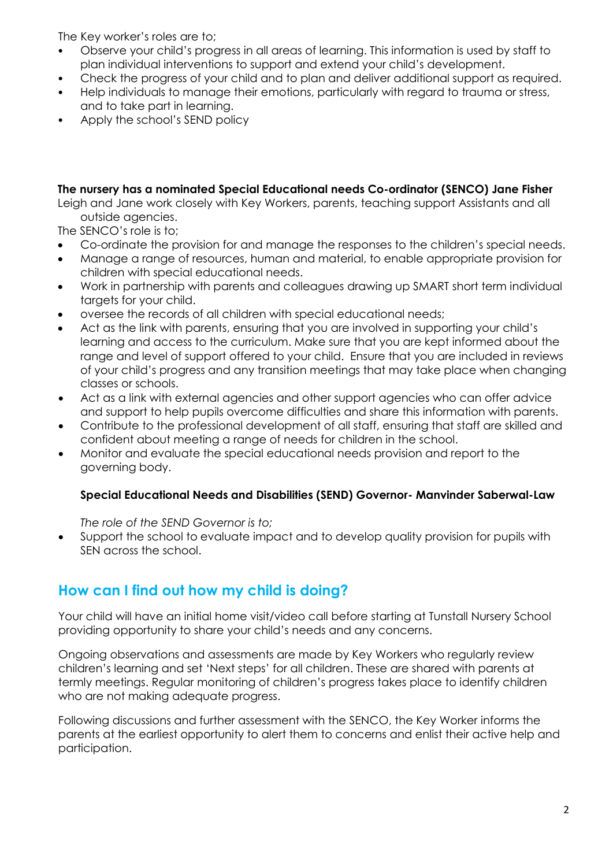The Key worker's roles are to;

- Observe your child's progress in all areas of learning. This information is used by staff to plan individual interventions to support and extend your child's development.
- Check the progress of your child and to plan and deliver additional support as required.
- Help individuals to manage their emotions, particularly with regard to trauma or stress, and to take part in learning.
- Apply the school's SEND policy

## **The nursery has a nominated Special Educational needs Co-ordinator (SENCO) Jane Fisher**

Leigh and Jane work closely with Key Workers, parents, teaching support Assistants and all outside agencies.

The SENCO's role is to;

- Co-ordinate the provision for and manage the responses to the children's special needs.
- Manage a range of resources, human and material, to enable appropriate provision for children with special educational needs.
- Work in partnership with parents and colleagues drawing up SMART short term individual targets for your child.
- oversee the records of all children with special educational needs;
- Act as the link with parents, ensuring that you are involved in supporting your child's learning and access to the curriculum. Make sure that you are kept informed about the range and level of support offered to your child. Ensure that you are included in reviews of your child's progress and any transition meetings that may take place when changing classes or schools.
- Act as a link with external agencies and other support agencies who can offer advice and support to help pupils overcome difficulties and share this information with parents.
- Contribute to the professional development of all staff, ensuring that staff are skilled and confident about meeting a range of needs for children in the school.
- Monitor and evaluate the special educational needs provision and report to the governing body.

## **Special Educational Needs and Disabilities (SEND) Governor- Manvinder Saberwal-Law**

*The role of the SEND Governor is to;*

• Support the school to evaluate impact and to develop quality provision for pupils with SEN across the school.

# **How can I find out how my child is doing?**

Your child will have an initial home visit/video call before starting at Tunstall Nursery School providing opportunity to share your child's needs and any concerns.

Ongoing observations and assessments are made by Key Workers who regularly review children's learning and set 'Next steps' for all children. These are shared with parents at termly meetings. Regular monitoring of children's progress takes place to identify children who are not making adequate progress.

Following discussions and further assessment with the SENCO, the Key Worker informs the parents at the earliest opportunity to alert them to concerns and enlist their active help and participation.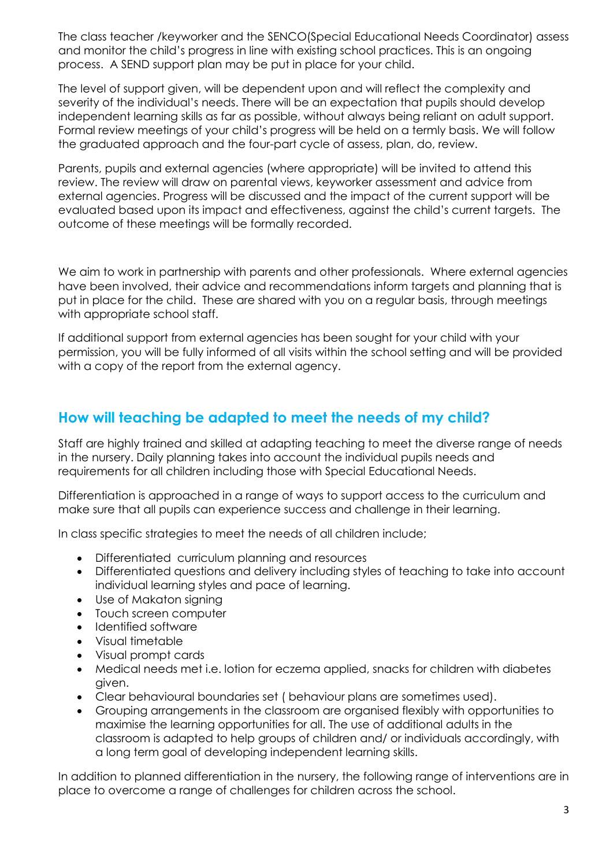The class teacher /keyworker and the SENCO(Special Educational Needs Coordinator) assess and monitor the child's progress in line with existing school practices. This is an ongoing process. A SEND support plan may be put in place for your child.

The level of support given, will be dependent upon and will reflect the complexity and severity of the individual's needs. There will be an expectation that pupils should develop independent learning skills as far as possible, without always being reliant on adult support. Formal review meetings of your child's progress will be held on a termly basis. We will follow the graduated approach and the four-part cycle of assess, plan, do, review.

Parents, pupils and external agencies (where appropriate) will be invited to attend this review. The review will draw on parental views, keyworker assessment and advice from external agencies. Progress will be discussed and the impact of the current support will be evaluated based upon its impact and effectiveness, against the child's current targets. The outcome of these meetings will be formally recorded.

We aim to work in partnership with parents and other professionals. Where external agencies have been involved, their advice and recommendations inform targets and planning that is put in place for the child. These are shared with you on a regular basis, through meetings with appropriate school staff.

If additional support from external agencies has been sought for your child with your permission, you will be fully informed of all visits within the school setting and will be provided with a copy of the report from the external agency.

# **How will teaching be adapted to meet the needs of my child?**

Staff are highly trained and skilled at adapting teaching to meet the diverse range of needs in the nursery. Daily planning takes into account the individual pupils needs and requirements for all children including those with Special Educational Needs.

Differentiation is approached in a range of ways to support access to the curriculum and make sure that all pupils can experience success and challenge in their learning.

In class specific strategies to meet the needs of all children include;

- Differentiated curriculum planning and resources
- Differentiated questions and delivery including styles of teaching to take into account individual learning styles and pace of learning.
- Use of Makaton signing
- Touch screen computer
- Identified software
- Visual timetable
- Visual prompt cards
- Medical needs met i.e. lotion for eczema applied, snacks for children with diabetes given.
- Clear behavioural boundaries set ( behaviour plans are sometimes used).
- Grouping arrangements in the classroom are organised flexibly with opportunities to maximise the learning opportunities for all. The use of additional adults in the classroom is adapted to help groups of children and/ or individuals accordingly, with a long term goal of developing independent learning skills.

In addition to planned differentiation in the nursery, the following range of interventions are in place to overcome a range of challenges for children across the school.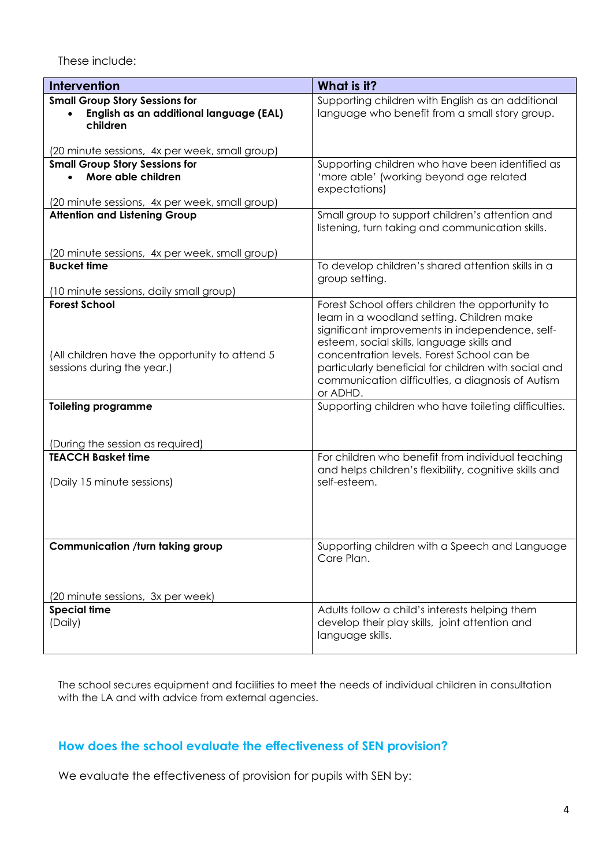These include:

| <b>Intervention</b>                                                                                                                            | What is it?                                                                                                                                                                                                                                                                                                                                                            |
|------------------------------------------------------------------------------------------------------------------------------------------------|------------------------------------------------------------------------------------------------------------------------------------------------------------------------------------------------------------------------------------------------------------------------------------------------------------------------------------------------------------------------|
| <b>Small Group Story Sessions for</b><br>English as an additional language (EAL)<br>children<br>(20 minute sessions, 4x per week, small group) | Supporting children with English as an additional<br>language who benefit from a small story group.                                                                                                                                                                                                                                                                    |
| <b>Small Group Story Sessions for</b>                                                                                                          | Supporting children who have been identified as                                                                                                                                                                                                                                                                                                                        |
| More able children<br>(20 minute sessions, 4x per week, small group)                                                                           | 'more able' (working beyond age related<br>expectations)                                                                                                                                                                                                                                                                                                               |
| <b>Attention and Listening Group</b>                                                                                                           | Small group to support children's attention and                                                                                                                                                                                                                                                                                                                        |
|                                                                                                                                                | listening, turn taking and communication skills.                                                                                                                                                                                                                                                                                                                       |
| (20 minute sessions, 4x per week, small group)                                                                                                 |                                                                                                                                                                                                                                                                                                                                                                        |
| <b>Bucket time</b>                                                                                                                             | To develop children's shared attention skills in a<br>group setting.                                                                                                                                                                                                                                                                                                   |
| (10 minute sessions, daily small group)                                                                                                        |                                                                                                                                                                                                                                                                                                                                                                        |
| <b>Forest School</b><br>(All children have the opportunity to attend 5)<br>sessions during the year.)                                          | Forest School offers children the opportunity to<br>learn in a woodland setting. Children make<br>significant improvements in independence, self-<br>esteem, social skills, language skills and<br>concentration levels. Forest School can be<br>particularly beneficial for children with social and<br>communication difficulties, a diagnosis of Autism<br>or ADHD. |
| <b>Toileting programme</b>                                                                                                                     | Supporting children who have toileting difficulties.                                                                                                                                                                                                                                                                                                                   |
| (During the session as required)                                                                                                               |                                                                                                                                                                                                                                                                                                                                                                        |
| <b>TEACCH Basket time</b>                                                                                                                      | For children who benefit from individual teaching                                                                                                                                                                                                                                                                                                                      |
| (Daily 15 minute sessions)                                                                                                                     | and helps children's flexibility, cognitive skills and<br>self-esteem.                                                                                                                                                                                                                                                                                                 |
| <b>Communication /turn taking group</b>                                                                                                        | Supporting children with a Speech and Language                                                                                                                                                                                                                                                                                                                         |
| (20 minute sessions, 3x per week)                                                                                                              | Care Plan.                                                                                                                                                                                                                                                                                                                                                             |
| <b>Special time</b>                                                                                                                            | Adults follow a child's interests helping them                                                                                                                                                                                                                                                                                                                         |
| (Daily)                                                                                                                                        | develop their play skills, joint attention and<br>language skills.                                                                                                                                                                                                                                                                                                     |

The school secures equipment and facilities to meet the needs of individual children in consultation with the LA and with advice from external agencies.

## **How does the school evaluate the effectiveness of SEN provision?**

We evaluate the effectiveness of provision for pupils with SEN by: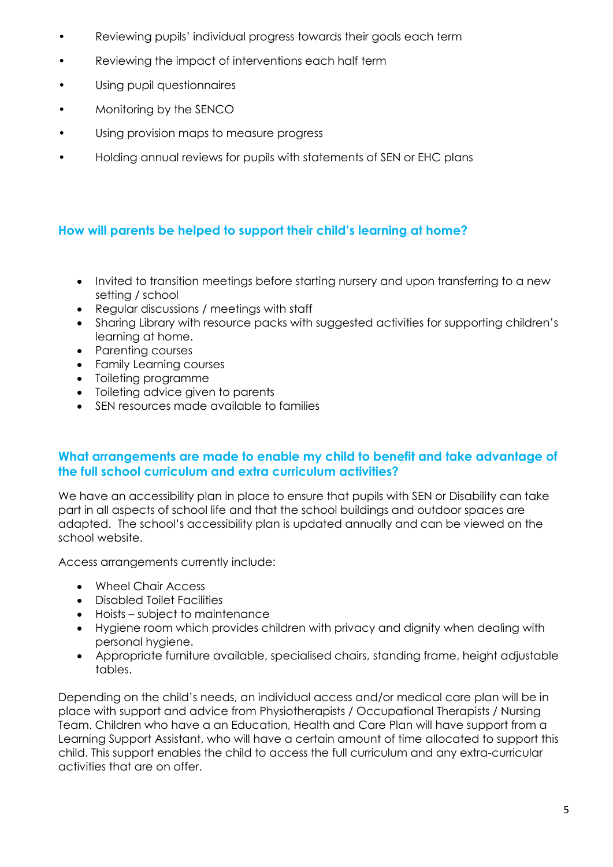- Reviewing pupils' individual progress towards their goals each term
- Reviewing the impact of interventions each half term
- Using pupil questionnaires
- Monitoring by the SENCO
- Using provision maps to measure progress
- Holding annual reviews for pupils with statements of SEN or EHC plans

## **How will parents be helped to support their child's learning at home?**

- Invited to transition meetings before starting nursery and upon transferring to a new setting / school
- Regular discussions / meetings with staff
- Sharing Library with resource packs with suggested activities for supporting children's learning at home.
- Parenting courses
- Family Learning courses
- Toileting programme
- Toileting advice given to parents
- SEN resources made available to families

#### **What arrangements are made to enable my child to benefit and take advantage of the full school curriculum and extra curriculum activities?**

We have an accessibility plan in place to ensure that pupils with SEN or Disability can take part in all aspects of school life and that the school buildings and outdoor spaces are adapted. The school's accessibility plan is updated annually and can be viewed on the school website.

Access arrangements currently include:

- Wheel Chair Access
- Disabled Toilet Facilities
- Hoists subject to maintenance
- Hygiene room which provides children with privacy and dignity when dealing with personal hygiene.
- Appropriate furniture available, specialised chairs, standing frame, height adjustable tables.

Depending on the child's needs, an individual access and/or medical care plan will be in place with support and advice from Physiotherapists / Occupational Therapists / Nursing Team. Children who have a an Education, Health and Care Plan will have support from a Learning Support Assistant, who will have a certain amount of time allocated to support this child. This support enables the child to access the full curriculum and any extra-curricular activities that are on offer.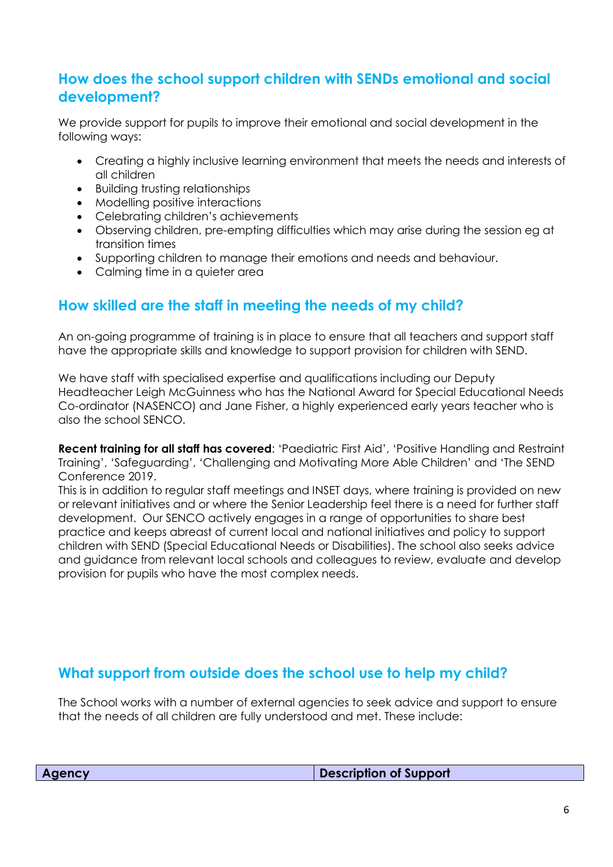## **How does the school support children with SENDs emotional and social development?**

We provide support for pupils to improve their emotional and social development in the following ways:

- Creating a highly inclusive learning environment that meets the needs and interests of all children
- Building trusting relationships
- Modelling positive interactions
- Celebrating children's achievements
- Observing children, pre-empting difficulties which may arise during the session eg at transition times
- Supporting children to manage their emotions and needs and behaviour.
- Calming time in a quieter area

# **How skilled are the staff in meeting the needs of my child?**

An on-going programme of training is in place to ensure that all teachers and support staff have the appropriate skills and knowledge to support provision for children with SEND.

We have staff with specialised expertise and qualifications including our Deputy Headteacher Leigh McGuinness who has the National Award for Special Educational Needs Co-ordinator (NASENCO) and Jane Fisher, a highly experienced early years teacher who is also the school SENCO.

**Recent training for all staff has covered**: 'Paediatric First Aid', 'Positive Handling and Restraint Training', 'Safeguarding', 'Challenging and Motivating More Able Children' and 'The SEND Conference 2019.

This is in addition to regular staff meetings and INSET days, where training is provided on new or relevant initiatives and or where the Senior Leadership feel there is a need for further staff development. Our SENCO actively engages in a range of opportunities to share best practice and keeps abreast of current local and national initiatives and policy to support children with SEND (Special Educational Needs or Disabilities). The school also seeks advice and guidance from relevant local schools and colleagues to review, evaluate and develop provision for pupils who have the most complex needs.

# **What support from outside does the school use to help my child?**

The School works with a number of external agencies to seek advice and support to ensure that the needs of all children are fully understood and met. These include:

| <b>Agency</b> | Description of Support |
|---------------|------------------------|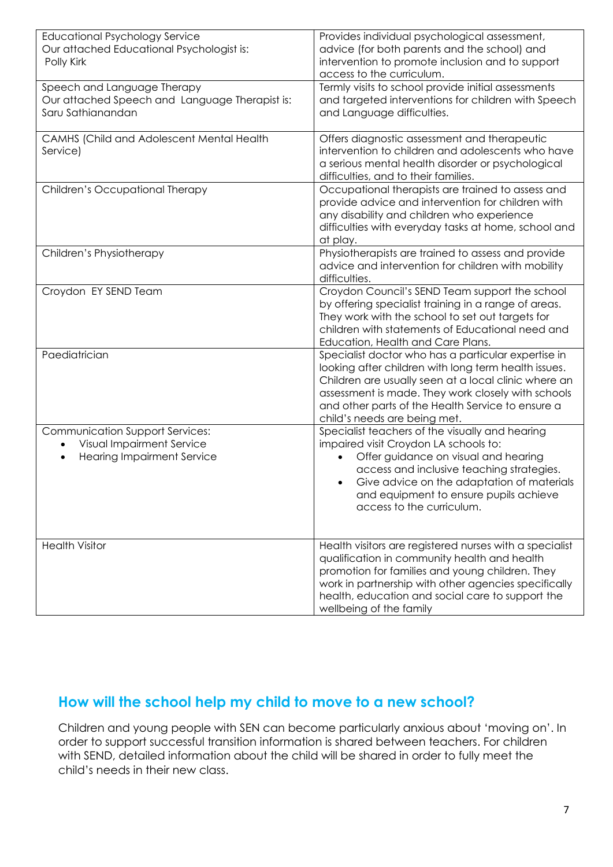| <b>Educational Psychology Service</b>          | Provides individual psychological assessment,           |
|------------------------------------------------|---------------------------------------------------------|
| Our attached Educational Psychologist is:      | advice (for both parents and the school) and            |
| Polly Kirk                                     | intervention to promote inclusion and to support        |
|                                                | access to the curriculum.                               |
| Speech and Language Therapy                    | Termly visits to school provide initial assessments     |
| Our attached Speech and Language Therapist is: | and targeted interventions for children with Speech     |
| Saru Sathianandan                              | and Language difficulties.                              |
|                                                |                                                         |
| CAMHS (Child and Adolescent Mental Health      | Offers diagnostic assessment and therapeutic            |
| Service)                                       | intervention to children and adolescents who have       |
|                                                | a serious mental health disorder or psychological       |
|                                                | difficulties, and to their families.                    |
| Children's Occupational Therapy                | Occupational therapists are trained to assess and       |
|                                                | provide advice and intervention for children with       |
|                                                | any disability and children who experience              |
|                                                | difficulties with everyday tasks at home, school and    |
|                                                | at play.                                                |
| Children's Physiotherapy                       | Physiotherapists are trained to assess and provide      |
|                                                | advice and intervention for children with mobility      |
|                                                | difficulties.                                           |
| Croydon EY SEND Team                           | Croydon Council's SEND Team support the school          |
|                                                | by offering specialist training in a range of areas.    |
|                                                | They work with the school to set out targets for        |
|                                                | children with statements of Educational need and        |
|                                                | Education, Health and Care Plans.                       |
| Paediatrician                                  | Specialist doctor who has a particular expertise in     |
|                                                | looking after children with long term health issues.    |
|                                                | Children are usually seen at a local clinic where an    |
|                                                | assessment is made. They work closely with schools      |
|                                                | and other parts of the Health Service to ensure a       |
|                                                | child's needs are being met.                            |
| Communication Support Services:                | Specialist teachers of the visually and hearing         |
| Visual Impairment Service                      | impaired visit Croydon LA schools to:                   |
| <b>Hearing Impairment Service</b>              | Offer guidance on visual and hearing                    |
|                                                | access and inclusive teaching strategies.               |
|                                                | Give advice on the adaptation of materials              |
|                                                | and equipment to ensure pupils achieve                  |
|                                                | access to the curriculum.                               |
|                                                |                                                         |
| <b>Health Visitor</b>                          | Health visitors are registered nurses with a specialist |
|                                                | qualification in community health and health            |
|                                                | promotion for families and young children. They         |
|                                                | work in partnership with other agencies specifically    |
|                                                | health, education and social care to support the        |
|                                                | wellbeing of the family                                 |
|                                                |                                                         |

# **How will the school help my child to move to a new school?**

Children and young people with SEN can become particularly anxious about 'moving on'. In order to support successful transition information is shared between teachers. For children with SEND, detailed information about the child will be shared in order to fully meet the child's needs in their new class.